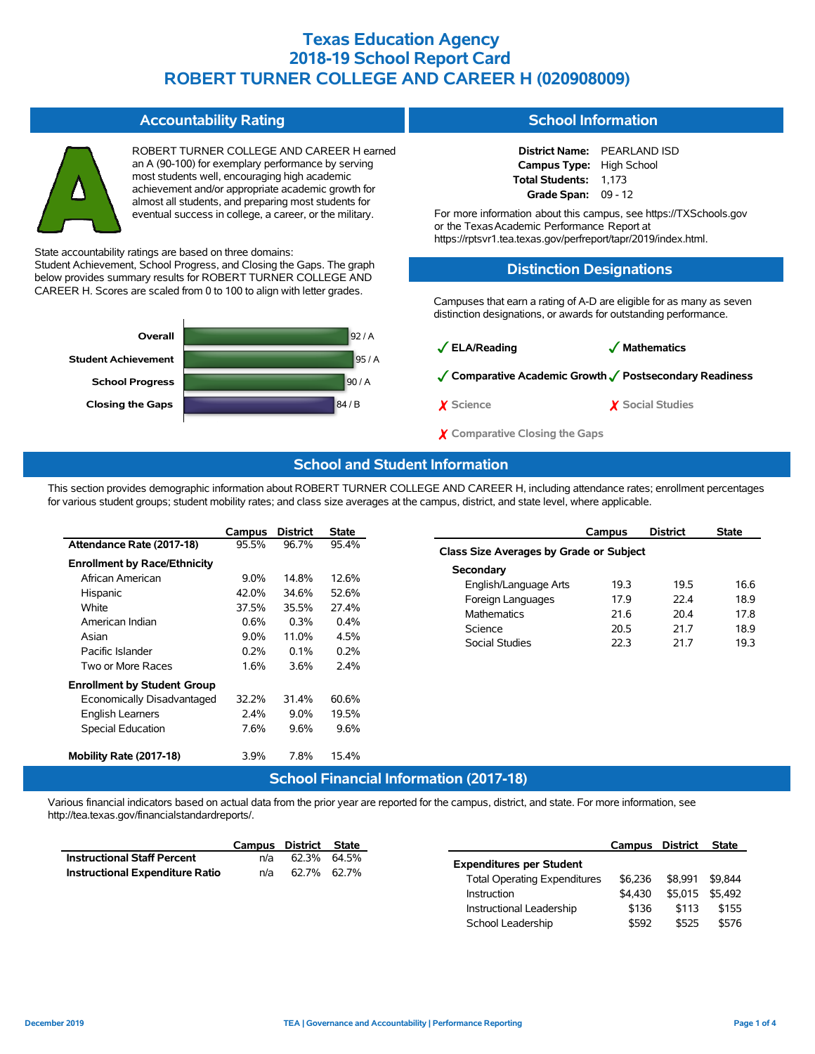H earned

| ROBERT TURNER COLLEGE AND CAREER H ea<br>an A (90-100) for exemplary performance by serving<br>most students well, encouraging high academic<br>achievement and/or appropriate academic growth for<br>almost all students, and preparing most students for<br>eventual success in college, a career, or the military. |
|-----------------------------------------------------------------------------------------------------------------------------------------------------------------------------------------------------------------------------------------------------------------------------------------------------------------------|
|                                                                                                                                                                                                                                                                                                                       |

**Accountability Rating**

State accountability ratings are based on three domains:

Student Achievement, School Progress, and Closing the Gaps. The graph below provides summary results for ROBERT TURNER COLLEGE AND CAREER H. Scores are scaled from 0 to 100 to align with letter grades.



#### **School Information**

**District Name:** PEARLAND ISD **Campus Type:** High School **Total Students:** 1,173 **Grade Span:** 09 - 12

For more information about this campus, see https://TXSchools.gov or the Texas Academic Performance Report at https://rptsvr1.tea.texas.gov/perfreport/tapr/2019/index.html.

#### **Distinction Designations**

Campuses that earn a rating of A-D are eligible for as many as seven distinction designations, or awards for outstanding performance.



### **School and Student Information**

This section provides demographic information about ROBERT TURNER COLLEGE AND CAREER H, including attendance rates; enrollment percentages for various student groups; student mobility rates; and class size averages at the campus, district, and state level, where applicable.

|                                     | Campus  | <b>District</b> | <b>State</b>          |
|-------------------------------------|---------|-----------------|-----------------------|
| Attendance Rate (2017-18)           | 95.5%   | 96.7%           | 95.4%                 |
| <b>Enrollment by Race/Ethnicity</b> |         |                 |                       |
| African American                    | $9.0\%$ | 14.8%           | 12.6%                 |
| Hispanic                            | 42.0%   | 34.6%           | 52.6%                 |
| White                               | 37.5%   | 35.5%           | 27.4%                 |
| American Indian                     | 0.6%    | 0.3%            | 0.4%                  |
| Asian                               | $9.0\%$ | 11.0%           | 4.5%                  |
| Pacific Islander                    | 0.2%    | 0.1%            | 0.2%                  |
| Two or More Races                   | 1.6%    | 3.6%            | 2.4%                  |
| <b>Enrollment by Student Group</b>  |         |                 |                       |
| Economically Disadvantaged          | 32.2%   | 31.4%           | 60.6%                 |
| <b>English Learners</b>             | $2.4\%$ | $9.0\%$         | 19.5%                 |
| <b>Special Education</b>            | 7.6%    | 9.6%            | 9.6%                  |
| Mobility Rate (2017-18)             | 3.9%    | 7.8%            | 15.4%                 |
|                                     |         |                 | <b>School Financi</b> |

|                                         | Campus | <b>District</b> | <b>State</b> |  |  |  |  |  |  |
|-----------------------------------------|--------|-----------------|--------------|--|--|--|--|--|--|
| Class Size Averages by Grade or Subject |        |                 |              |  |  |  |  |  |  |
| Secondary                               |        |                 |              |  |  |  |  |  |  |
| English/Language Arts                   | 19.3   | 19.5            | 16.6         |  |  |  |  |  |  |
| Foreign Languages                       | 179    | 22 4            | 18.9         |  |  |  |  |  |  |
| <b>Mathematics</b>                      | 21.6   | 20.4            | 17.8         |  |  |  |  |  |  |
| Science                                 | 20.5   | 21.7            | 18.9         |  |  |  |  |  |  |
| Social Studies                          | 22.3   | 21 7            | 19.3         |  |  |  |  |  |  |
|                                         |        |                 |              |  |  |  |  |  |  |

#### **Fall Information (2017-18)**

Various financial indicators based on actual data from the prior year are reported for the campus, district, and state. For more information, see http://tea.texas.gov/financialstandardreports/.

|                                    | Campus | District State |             |                                     | Campus  | <b>District</b> | <b>State</b> |
|------------------------------------|--------|----------------|-------------|-------------------------------------|---------|-----------------|--------------|
| <b>Instructional Staff Percent</b> | n/a    |                | 62.3% 64.5% | <b>Expenditures per Student</b>     |         |                 |              |
| Instructional Expenditure Ratio    | n/a    |                | 62.7% 62.7% | <b>Total Operating Expenditures</b> | \$6.236 | \$8.991         | \$9,844      |
|                                    |        |                |             | Instruction                         | \$4.430 | \$5.015         | \$5.492      |
|                                    |        |                |             | Instructional Leadership            | \$136   | \$113           |              |
|                                    |        |                |             | School Leadership                   | \$592   | \$525           |              |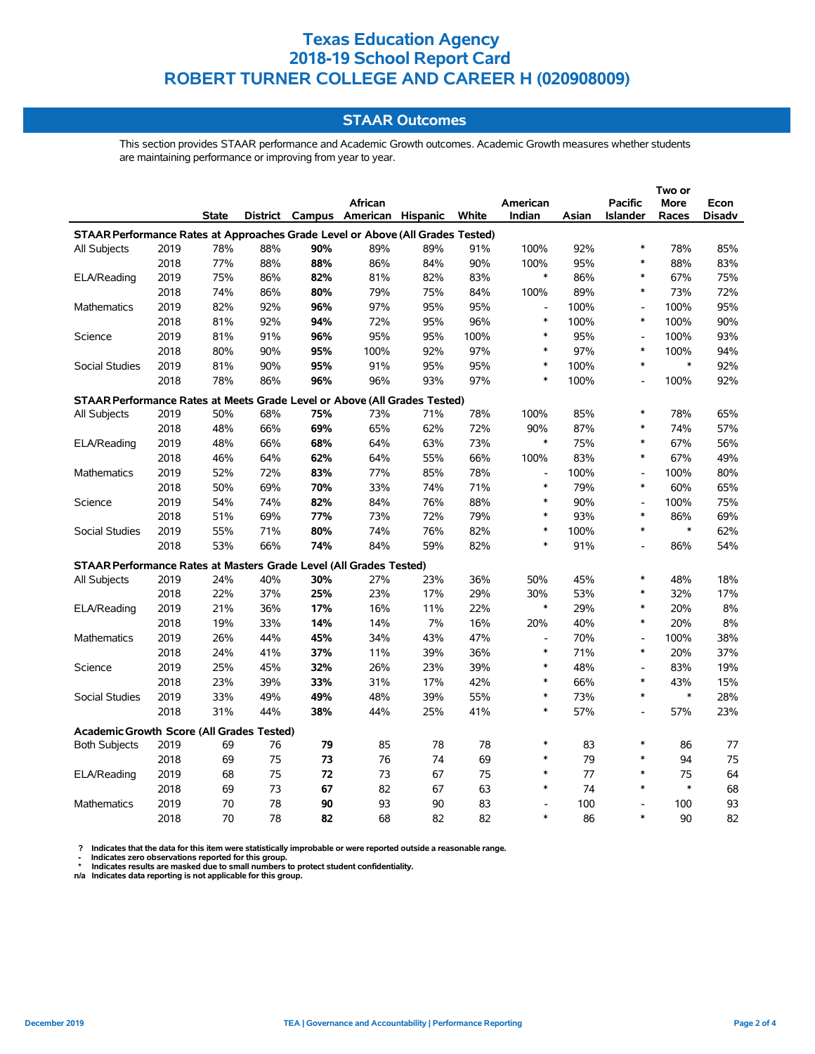### **STAAR Outcomes**

This section provides STAAR performance and Academic Growth outcomes. Academic Growth measures whether students are maintaining performance or improving from year to year.

|                                                                                |      |              |     |     |                                   |     | Two or |                              |       |                          |             |               |  |  |
|--------------------------------------------------------------------------------|------|--------------|-----|-----|-----------------------------------|-----|--------|------------------------------|-------|--------------------------|-------------|---------------|--|--|
|                                                                                |      |              |     |     | African                           |     |        | American                     |       | <b>Pacific</b>           | <b>More</b> | Econ          |  |  |
|                                                                                |      | <b>State</b> |     |     | District Campus American Hispanic |     | White  | Indian                       | Asian | <b>Islander</b>          | Races       | <b>Disadv</b> |  |  |
| STAAR Performance Rates at Approaches Grade Level or Above (All Grades Tested) |      |              |     |     |                                   |     |        |                              |       |                          |             |               |  |  |
| All Subjects                                                                   | 2019 | 78%          | 88% | 90% | 89%                               | 89% | 91%    | 100%                         | 92%   | $\ast$                   | 78%         | 85%           |  |  |
|                                                                                | 2018 | 77%          | 88% | 88% | 86%                               | 84% | 90%    | 100%                         | 95%   | $\ast$                   | 88%         | 83%           |  |  |
| ELA/Reading                                                                    | 2019 | 75%          | 86% | 82% | 81%                               | 82% | 83%    | $\ast$                       | 86%   | $\ast$                   | 67%         | 75%           |  |  |
|                                                                                | 2018 | 74%          | 86% | 80% | 79%                               | 75% | 84%    | 100%                         | 89%   | $\ast$                   | 73%         | 72%           |  |  |
| Mathematics                                                                    | 2019 | 82%          | 92% | 96% | 97%                               | 95% | 95%    | $\overline{a}$               | 100%  | $\overline{\phantom{a}}$ | 100%        | 95%           |  |  |
|                                                                                | 2018 | 81%          | 92% | 94% | 72%                               | 95% | 96%    | $\ast$                       | 100%  | $\ast$                   | 100%        | 90%           |  |  |
| Science                                                                        | 2019 | 81%          | 91% | 96% | 95%                               | 95% | 100%   | $\ast$                       | 95%   | $\overline{a}$           | 100%        | 93%           |  |  |
|                                                                                | 2018 | 80%          | 90% | 95% | 100%                              | 92% | 97%    | $\ast$                       | 97%   | $\ast$                   | 100%        | 94%           |  |  |
| <b>Social Studies</b>                                                          | 2019 | 81%          | 90% | 95% | 91%                               | 95% | 95%    | $\ast$                       | 100%  | $\ast$                   | $\ast$      | 92%           |  |  |
|                                                                                | 2018 | 78%          | 86% | 96% | 96%                               | 93% | 97%    | $\ast$                       | 100%  | $\overline{a}$           | 100%        | 92%           |  |  |
| STAAR Performance Rates at Meets Grade Level or Above (All Grades Tested)      |      |              |     |     |                                   |     |        |                              |       |                          |             |               |  |  |
| All Subjects                                                                   | 2019 | 50%          | 68% | 75% | 73%                               | 71% | 78%    | 100%                         | 85%   | $\ast$                   | 78%         | 65%           |  |  |
|                                                                                | 2018 | 48%          | 66% | 69% | 65%                               | 62% | 72%    | 90%                          | 87%   | *                        | 74%         | 57%           |  |  |
| ELA/Reading                                                                    | 2019 | 48%          | 66% | 68% | 64%                               | 63% | 73%    | $\ast$                       | 75%   | $\ast$                   | 67%         | 56%           |  |  |
|                                                                                | 2018 | 46%          | 64% | 62% | 64%                               | 55% | 66%    | 100%                         | 83%   | $\ast$                   | 67%         | 49%           |  |  |
| <b>Mathematics</b>                                                             | 2019 | 52%          | 72% | 83% | 77%                               | 85% | 78%    | $\qquad \qquad \blacksquare$ | 100%  | $\overline{\phantom{a}}$ | 100%        | 80%           |  |  |
|                                                                                | 2018 | 50%          | 69% | 70% | 33%                               | 74% | 71%    | $\ast$                       | 79%   | $\ast$                   | 60%         | 65%           |  |  |
| Science                                                                        | 2019 | 54%          | 74% | 82% | 84%                               | 76% | 88%    | $\ast$                       | 90%   | $\overline{\phantom{a}}$ | 100%        | 75%           |  |  |
|                                                                                | 2018 | 51%          | 69% | 77% | 73%                               | 72% | 79%    | $\ast$                       | 93%   | $\ast$                   | 86%         | 69%           |  |  |
| Social Studies                                                                 | 2019 | 55%          | 71% | 80% | 74%                               | 76% | 82%    | $\ast$                       | 100%  | $\ast$                   | $\ast$      | 62%           |  |  |
|                                                                                | 2018 | 53%          | 66% | 74% | 84%                               | 59% | 82%    | $\ast$                       | 91%   | $\overline{a}$           | 86%         | 54%           |  |  |
| STAAR Performance Rates at Masters Grade Level (All Grades Tested)             |      |              |     |     |                                   |     |        |                              |       |                          |             |               |  |  |
| All Subjects                                                                   | 2019 | 24%          | 40% | 30% | 27%                               | 23% | 36%    | 50%                          | 45%   | *                        | 48%         | 18%           |  |  |
|                                                                                | 2018 | 22%          | 37% | 25% | 23%                               | 17% | 29%    | 30%                          | 53%   | $\ast$                   | 32%         | 17%           |  |  |
| ELA/Reading                                                                    | 2019 | 21%          | 36% | 17% | 16%                               | 11% | 22%    | *                            | 29%   | $\ast$                   | 20%         | 8%            |  |  |
|                                                                                | 2018 | 19%          | 33% | 14% | 14%                               | 7%  | 16%    | 20%                          | 40%   | $\ast$                   | 20%         | 8%            |  |  |
| Mathematics                                                                    | 2019 | 26%          | 44% | 45% | 34%                               | 43% | 47%    | $\qquad \qquad \blacksquare$ | 70%   | $\overline{a}$           | 100%        | 38%           |  |  |
|                                                                                | 2018 | 24%          | 41% | 37% | 11%                               | 39% | 36%    | $\ast$                       | 71%   | $\ast$                   | 20%         | 37%           |  |  |
| Science                                                                        | 2019 | 25%          | 45% | 32% | 26%                               | 23% | 39%    | *                            | 48%   | $\overline{\phantom{a}}$ | 83%         | 19%           |  |  |
|                                                                                | 2018 | 23%          | 39% | 33% | 31%                               | 17% | 42%    | *                            | 66%   | $\ast$                   | 43%         | 15%           |  |  |
| Social Studies                                                                 | 2019 | 33%          | 49% | 49% | 48%                               | 39% | 55%    | *                            | 73%   | $\ast$                   | $\ast$      | 28%           |  |  |
|                                                                                | 2018 | 31%          | 44% | 38% | 44%                               | 25% | 41%    | $\ast$                       | 57%   | $\overline{\phantom{a}}$ | 57%         | 23%           |  |  |
| Academic Growth Score (All Grades Tested)                                      |      |              |     |     |                                   |     |        |                              |       |                          |             |               |  |  |
| <b>Both Subjects</b>                                                           | 2019 | 69           | 76  | 79  | 85                                | 78  | 78     | *                            | 83    | *                        | 86          | 77            |  |  |
|                                                                                | 2018 | 69           | 75  | 73  | 76                                | 74  | 69     | *                            | 79    | *                        | 94          | 75            |  |  |
| ELA/Reading                                                                    | 2019 | 68           | 75  | 72  | 73                                | 67  | 75     | *                            | 77    | $\ast$                   | 75          | 64            |  |  |
|                                                                                | 2018 | 69           | 73  | 67  | 82                                | 67  | 63     | *                            | 74    | $\ast$                   | $\ast$      | 68            |  |  |
| Mathematics                                                                    | 2019 | 70           | 78  | 90  | 93                                | 90  | 83     |                              | 100   | $\overline{\phantom{a}}$ | 100         | 93            |  |  |
|                                                                                | 2018 | 70           | 78  | 82  | 68                                | 82  | 82     | $\ast$                       | 86    | $\ast$                   | 90          | 82            |  |  |

? Indicates that the data for this item were statistically improbable or were reported outside a reasonable range.<br>- Indicates zero observations reported for this group.<br>\* Indicates results are masked due to small numbers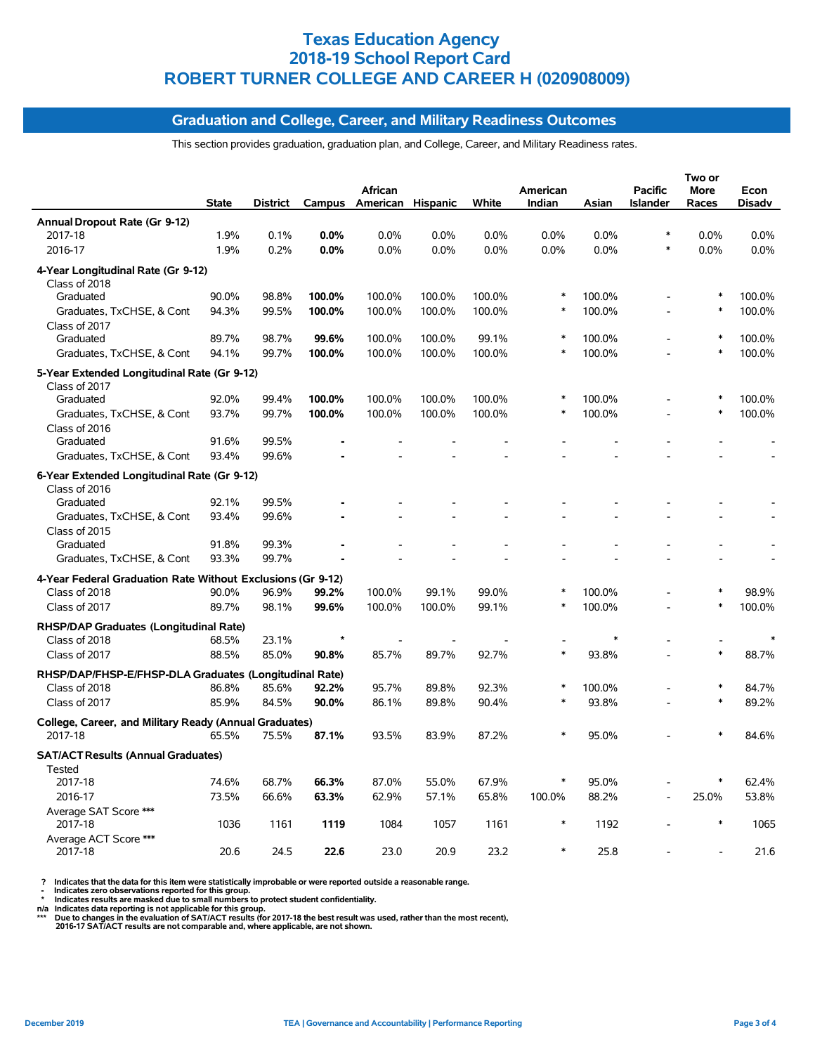#### **Graduation and College, Career, and Military Readiness Outcomes**

This section provides graduation, graduation plan, and College, Career, and Military Readiness rates.

|                                                                   | <b>State</b> | <b>District</b> | Campus  | <b>African</b><br>American Hispanic |        | White  | American<br>Indian | Asian  | <b>Pacific</b><br><b>Islander</b> | Two or<br><b>More</b><br>Races | Econ<br><b>Disadv</b> |
|-------------------------------------------------------------------|--------------|-----------------|---------|-------------------------------------|--------|--------|--------------------|--------|-----------------------------------|--------------------------------|-----------------------|
| Annual Dropout Rate (Gr 9-12)                                     |              |                 |         |                                     |        |        |                    |        |                                   |                                |                       |
| 2017-18                                                           | 1.9%         | 0.1%            | 0.0%    | 0.0%                                | 0.0%   | 0.0%   | 0.0%               | 0.0%   | $\ast$                            | 0.0%                           | 0.0%                  |
| 2016-17                                                           | 1.9%         | 0.2%            | 0.0%    | 0.0%                                | 0.0%   | 0.0%   | 0.0%               | 0.0%   | $\ast$                            | 0.0%                           | 0.0%                  |
| 4-Year Longitudinal Rate (Gr 9-12)<br>Class of 2018               |              |                 |         |                                     |        |        |                    |        |                                   |                                |                       |
| Graduated                                                         | 90.0%        | 98.8%           | 100.0%  | 100.0%                              | 100.0% | 100.0% | $\ast$             | 100.0% | $\overline{\phantom{a}}$          | $\ast$                         | 100.0%                |
| Graduates, TxCHSE, & Cont<br>Class of 2017                        | 94.3%        | 99.5%           | 100.0%  | 100.0%                              | 100.0% | 100.0% | $\ast$             | 100.0% |                                   | $\ast$                         | 100.0%                |
| Graduated                                                         | 89.7%        | 98.7%           | 99.6%   | 100.0%                              | 100.0% | 99.1%  |                    | 100.0% |                                   | $\ast$                         | 100.0%                |
| Graduates, TxCHSE, & Cont                                         | 94.1%        | 99.7%           | 100.0%  | 100.0%                              | 100.0% | 100.0% | $\ast$             | 100.0% |                                   | $\ast$                         | 100.0%                |
| 5-Year Extended Longitudinal Rate (Gr 9-12)<br>Class of 2017      |              |                 |         |                                     |        |        |                    |        |                                   |                                |                       |
| Graduated                                                         | 92.0%        | 99.4%           | 100.0%  | 100.0%                              | 100.0% | 100.0% | *                  | 100.0% |                                   | $\ast$                         | 100.0%                |
| Graduates, TxCHSE, & Cont<br>Class of 2016                        | 93.7%        | 99.7%           | 100.0%  | 100.0%                              | 100.0% | 100.0% |                    | 100.0% |                                   | $\ast$                         | 100.0%                |
| Graduated                                                         | 91.6%        | 99.5%           |         |                                     |        |        |                    |        |                                   |                                |                       |
| Graduates, TxCHSE, & Cont                                         | 93.4%        | 99.6%           |         |                                     |        |        |                    |        |                                   |                                |                       |
| 6-Year Extended Longitudinal Rate (Gr 9-12)<br>Class of 2016      |              |                 |         |                                     |        |        |                    |        |                                   |                                |                       |
| Graduated                                                         | 92.1%        | 99.5%           |         |                                     |        |        |                    |        |                                   |                                |                       |
| Graduates, TxCHSE, & Cont<br>Class of 2015                        | 93.4%        | 99.6%           |         |                                     |        |        |                    |        |                                   |                                |                       |
| Graduated                                                         | 91.8%        | 99.3%           |         |                                     |        |        |                    |        |                                   |                                |                       |
| Graduates, TxCHSE, & Cont                                         | 93.3%        | 99.7%           |         |                                     |        |        |                    |        |                                   |                                |                       |
| 4-Year Federal Graduation Rate Without Exclusions (Gr 9-12)       |              |                 |         |                                     |        |        |                    |        |                                   |                                |                       |
| Class of 2018                                                     | 90.0%        | 96.9%           | 99.2%   | 100.0%                              | 99.1%  | 99.0%  | $\ast$             | 100.0% |                                   | $\ast$                         | 98.9%                 |
| Class of 2017                                                     | 89.7%        | 98.1%           | 99.6%   | 100.0%                              | 100.0% | 99.1%  | $\ast$             | 100.0% | L,                                | $\ast$                         | 100.0%                |
| RHSP/DAP Graduates (Longitudinal Rate)                            |              |                 |         |                                     |        |        |                    |        |                                   |                                |                       |
| Class of 2018                                                     | 68.5%        | 23.1%           | $\star$ |                                     |        |        |                    | $\ast$ |                                   |                                |                       |
| Class of 2017                                                     | 88.5%        | 85.0%           | 90.8%   | 85.7%                               | 89.7%  | 92.7%  | $\ast$             | 93.8%  |                                   | $\ast$                         | 88.7%                 |
| RHSP/DAP/FHSP-E/FHSP-DLA Graduates (Longitudinal Rate)            |              |                 |         |                                     |        |        |                    |        |                                   |                                |                       |
| Class of 2018                                                     | 86.8%        | 85.6%           | 92.2%   | 95.7%                               | 89.8%  | 92.3%  |                    | 100.0% |                                   | $\ast$                         | 84.7%                 |
| Class of 2017                                                     | 85.9%        | 84.5%           | 90.0%   | 86.1%                               | 89.8%  | 90.4%  | $\ast$             | 93.8%  |                                   | $\ast$                         | 89.2%                 |
| College, Career, and Military Ready (Annual Graduates)<br>2017-18 | 65.5%        | 75.5%           | 87.1%   | 93.5%                               | 83.9%  | 87.2%  | $\ast$             | 95.0%  |                                   |                                | 84.6%                 |
| <b>SAT/ACT Results (Annual Graduates)</b>                         |              |                 |         |                                     |        |        |                    |        |                                   |                                |                       |
| Tested<br>2017-18                                                 | 74.6%        | 68.7%           | 66.3%   | 87.0%                               | 55.0%  | 67.9%  | $\ast$             | 95.0%  |                                   | $\ast$                         | 62.4%                 |
| 2016-17                                                           | 73.5%        | 66.6%           | 63.3%   | 62.9%                               | 57.1%  | 65.8%  | 100.0%             | 88.2%  |                                   | 25.0%                          | 53.8%                 |
| Average SAT Score ***                                             |              |                 |         |                                     |        |        |                    |        |                                   |                                |                       |
| 2017-18<br>Average ACT Score ***                                  | 1036         | 1161            | 1119    | 1084                                | 1057   | 1161   |                    | 1192   |                                   | $\ast$                         | 1065                  |
| 2017-18                                                           | 20.6         | 24.5            | 22.6    | 23.0                                | 20.9   | 23.2   |                    | 25.8   |                                   |                                | 21.6                  |

? Indicates that the data for this item were statistically improbable or were reported outside a reasonable range.<br>- Indicates zero observations reported for this group.<br>\* Indicates results are masked due to small numbers

n/a Indicates data reporting is not applicable for this group.<br>\*\*\* Due to changes in the evaluation of SAT/ACT results (for 2017-18 the best result was used, rather than the most recent),<br> 2016-17 SAT/ACT results are